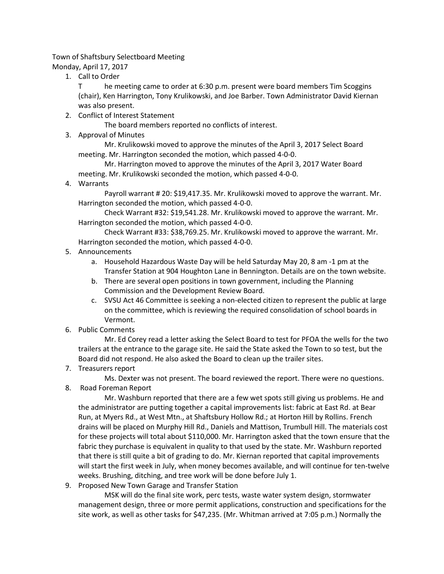Town of Shaftsbury Selectboard Meeting

Monday, April 17, 2017

1. Call to Order

T he meeting came to order at 6:30 p.m. present were board members Tim Scoggins (chair), Ken Harrington, Tony Krulikowski, and Joe Barber. Town Administrator David Kiernan was also present.

2. Conflict of Interest Statement

The board members reported no conflicts of interest.

3. Approval of Minutes

Mr. Krulikowski moved to approve the minutes of the April 3, 2017 Select Board meeting. Mr. Harrington seconded the motion, which passed 4-0-0.

Mr. Harrington moved to approve the minutes of the April 3, 2017 Water Board meeting. Mr. Krulikowski seconded the motion, which passed 4-0-0.

4. Warrants

Payroll warrant # 20: \$19,417.35. Mr. Krulikowski moved to approve the warrant. Mr. Harrington seconded the motion, which passed 4-0-0.

Check Warrant #32: \$19,541.28. Mr. Krulikowski moved to approve the warrant. Mr. Harrington seconded the motion, which passed 4-0-0.

Check Warrant #33: \$38,769.25. Mr. Krulikowski moved to approve the warrant. Mr. Harrington seconded the motion, which passed 4-0-0.

- 5. Announcements
	- a. Household Hazardous Waste Day will be held Saturday May 20, 8 am -1 pm at the Transfer Station at 904 Houghton Lane in Bennington. Details are on the town website.
	- b. There are several open positions in town government, including the Planning Commission and the Development Review Board.
	- c. SVSU Act 46 Committee is seeking a non-elected citizen to represent the public at large on the committee, which is reviewing the required consolidation of school boards in Vermont.
- 6. Public Comments

Mr. Ed Corey read a letter asking the Select Board to test for PFOA the wells for the two trailers at the entrance to the garage site. He said the State asked the Town to so test, but the Board did not respond. He also asked the Board to clean up the trailer sites.

7. Treasurers report

Ms. Dexter was not present. The board reviewed the report. There were no questions.

8. Road Foreman Report

Mr. Washburn reported that there are a few wet spots still giving us problems. He and the administrator are putting together a capital improvements list: fabric at East Rd. at Bear Run, at Myers Rd., at West Mtn., at Shaftsbury Hollow Rd.; at Horton Hill by Rollins. French drains will be placed on Murphy Hill Rd., Daniels and Mattison, Trumbull Hill. The materials cost for these projects will total about \$110,000. Mr. Harrington asked that the town ensure that the fabric they purchase is equivalent in quality to that used by the state. Mr. Washburn reported that there is still quite a bit of grading to do. Mr. Kiernan reported that capital improvements will start the first week in July, when money becomes available, and will continue for ten-twelve weeks. Brushing, ditching, and tree work will be done before July 1.

9. Proposed New Town Garage and Transfer Station

MSK will do the final site work, perc tests, waste water system design, stormwater management design, three or more permit applications, construction and specifications for the site work, as well as other tasks for \$47,235. (Mr. Whitman arrived at 7:05 p.m.) Normally the